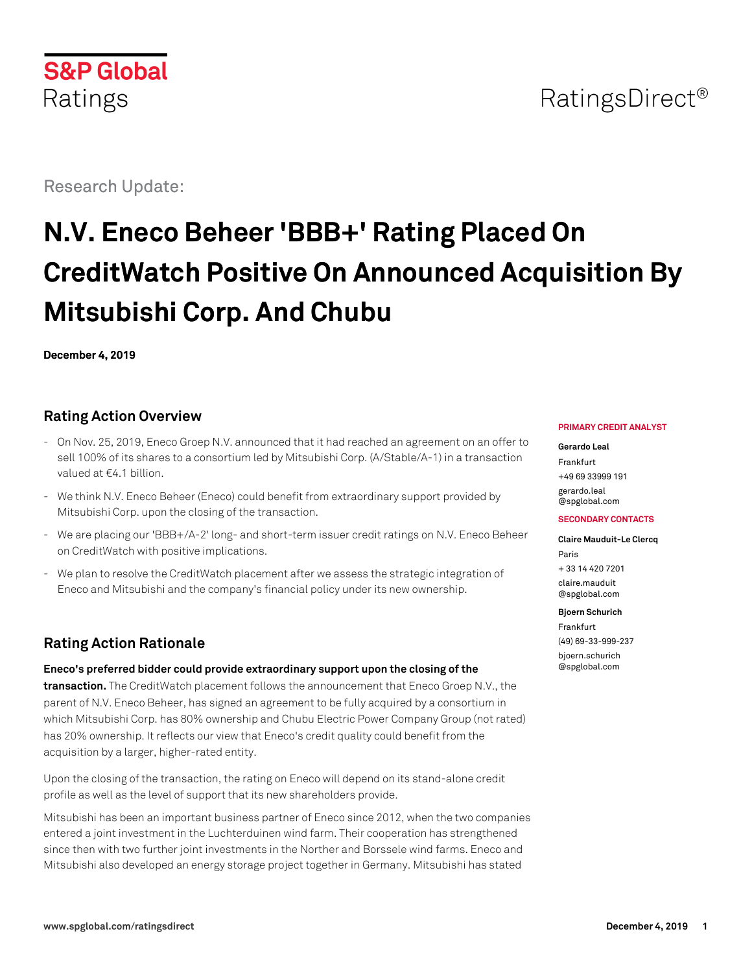

## RatingsDirect<sup>®</sup>

Research Update:

# **N.V. Eneco Beheer 'BBB+' Rating Placed On CreditWatch Positive On Announced Acquisition By Mitsubishi Corp. And Chubu**

**December 4, 2019**

## **Rating Action Overview**

- On Nov. 25, 2019, Eneco Groep N.V. announced that it had reached an agreement on an offer to sell 100% of its shares to a consortium led by Mitsubishi Corp. (A/Stable/A-1) in a transaction valued at €4.1 billion.
- We think N.V. Eneco Beheer (Eneco) could benefit from extraordinary support provided by Mitsubishi Corp. upon the closing of the transaction.
- We are placing our 'BBB+/A-2' long- and short-term issuer credit ratings on N.V. Eneco Beheer on CreditWatch with positive implications.
- We plan to resolve the CreditWatch placement after we assess the strategic integration of Eneco and Mitsubishi and the company's financial policy under its new ownership.

## **Rating Action Rationale**

**Eneco's preferred bidder could provide extraordinary support upon the closing of the transaction.** The CreditWatch placement follows the announcement that Eneco Groep N.V., the

parent of N.V. Eneco Beheer, has signed an agreement to be fully acquired by a consortium in which Mitsubishi Corp. has 80% ownership and Chubu Electric Power Company Group (not rated) has 20% ownership. It reflects our view that Eneco's credit quality could benefit from the acquisition by a larger, higher-rated entity.

Upon the closing of the transaction, the rating on Eneco will depend on its stand-alone credit profile as well as the level of support that its new shareholders provide.

Mitsubishi has been an important business partner of Eneco since 2012, when the two companies entered a joint investment in the Luchterduinen wind farm. Their cooperation has strengthened since then with two further joint investments in the Norther and Borssele wind farms. Eneco and Mitsubishi also developed an energy storage project together in Germany. Mitsubishi has stated

#### **PRIMARY CREDIT ANALYST**

**Gerardo Leal** Frankfurt

+49 69 33999 191 [gerardo.leal](mailto:gerardo.leal@spglobal.com) [@spglobal.com](mailto:gerardo.leal@spglobal.com)

#### **SECONDARY CONTACTS**

**Claire Mauduit-Le Clercq** Paris + 33 14 420 7201 [claire.mauduit](mailto:claire.mauduit@spglobal.com) [@spglobal.com](mailto:claire.mauduit@spglobal.com)

#### **Bjoern Schurich**

Frankfurt (49) 69-33-999-237 [bjoern.schurich](mailto:bjoern.schurich@spglobal.com) [@spglobal.com](mailto:bjoern.schurich@spglobal.com)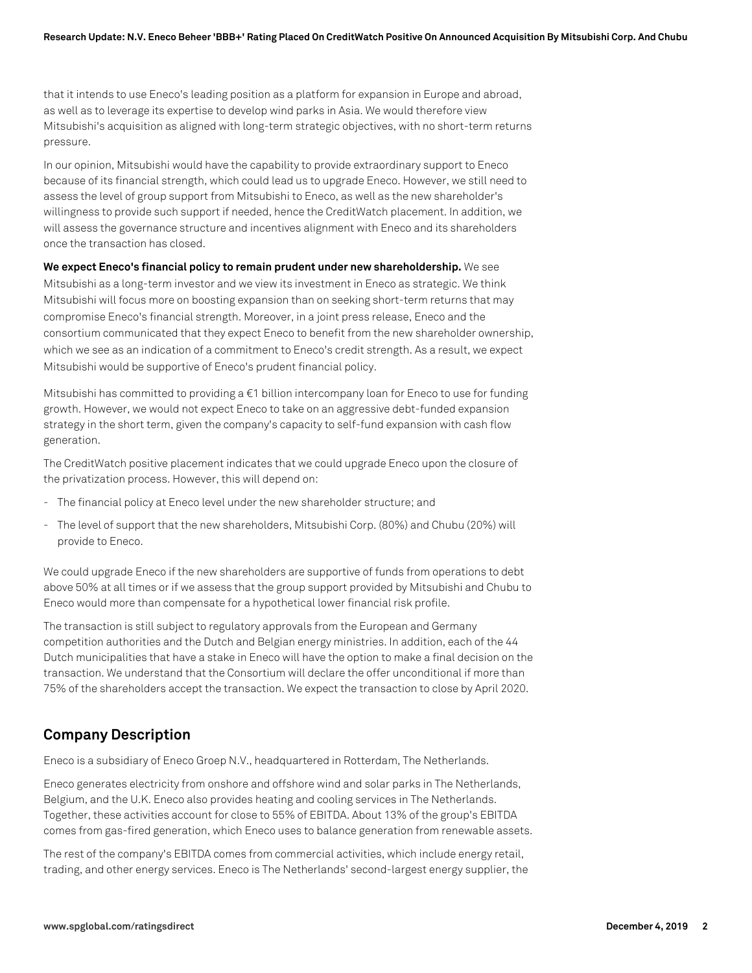that it intends to use Eneco's leading position as a platform for expansion in Europe and abroad, as well as to leverage its expertise to develop wind parks in Asia. We would therefore view Mitsubishi's acquisition as aligned with long-term strategic objectives, with no short-term returns pressure.

In our opinion, Mitsubishi would have the capability to provide extraordinary support to Eneco because of its financial strength, which could lead us to upgrade Eneco. However, we still need to assess the level of group support from Mitsubishi to Eneco, as well as the new shareholder's willingness to provide such support if needed, hence the CreditWatch placement. In addition, we will assess the governance structure and incentives alignment with Eneco and its shareholders once the transaction has closed.

**We expect Eneco's financial policy to remain prudent under new shareholdership.** We see Mitsubishi as a long-term investor and we view its investment in Eneco as strategic. We think Mitsubishi will focus more on boosting expansion than on seeking short-term returns that may compromise Eneco's financial strength. Moreover, in a joint press release, Eneco and the consortium communicated that they expect Eneco to benefit from the new shareholder ownership, which we see as an indication of a commitment to Eneco's credit strength. As a result, we expect Mitsubishi would be supportive of Eneco's prudent financial policy.

Mitsubishi has committed to providing  $a \in I$  billion intercompany loan for Eneco to use for funding growth. However, we would not expect Eneco to take on an aggressive debt-funded expansion strategy in the short term, given the company's capacity to self-fund expansion with cash flow generation.

The CreditWatch positive placement indicates that we could upgrade Eneco upon the closure of the privatization process. However, this will depend on:

- The financial policy at Eneco level under the new shareholder structure; and
- The level of support that the new shareholders, Mitsubishi Corp. (80%) and Chubu (20%) will provide to Eneco.

We could upgrade Eneco if the new shareholders are supportive of funds from operations to debt above 50% at all times or if we assess that the group support provided by Mitsubishi and Chubu to Eneco would more than compensate for a hypothetical lower financial risk profile.

The transaction is still subject to regulatory approvals from the European and Germany competition authorities and the Dutch and Belgian energy ministries. In addition, each of the 44 Dutch municipalities that have a stake in Eneco will have the option to make a final decision on the transaction. We understand that the Consortium will declare the offer unconditional if more than 75% of the shareholders accept the transaction. We expect the transaction to close by April 2020.

## **Company Description**

Eneco is a subsidiary of Eneco Groep N.V., headquartered in Rotterdam, The Netherlands.

Eneco generates electricity from onshore and offshore wind and solar parks in The Netherlands, Belgium, and the U.K. Eneco also provides heating and cooling services in The Netherlands. Together, these activities account for close to 55% of EBITDA. About 13% of the group's EBITDA comes from gas-fired generation, which Eneco uses to balance generation from renewable assets.

The rest of the company's EBITDA comes from commercial activities, which include energy retail, trading, and other energy services. Eneco is The Netherlands' second-largest energy supplier, the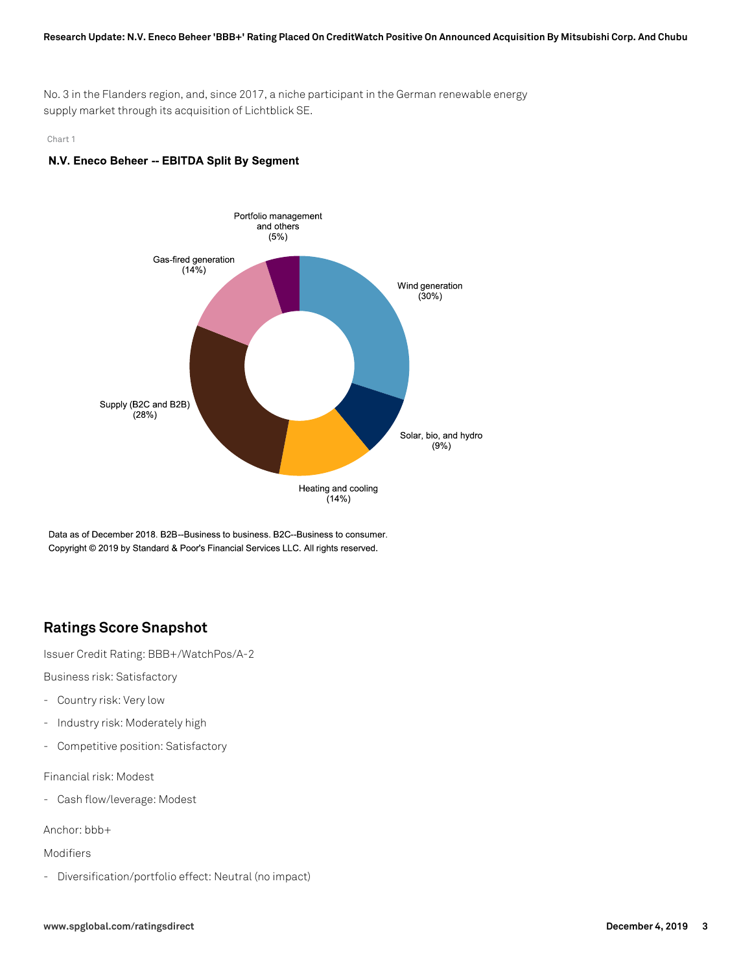#### **Research Update: N.V. Eneco Beheer 'BBB+' Rating Placed On CreditWatch Positive On Announced Acquisition By Mitsubishi Corp. And Chubu**

No. 3 in the Flanders region, and, since 2017, a niche participant in the German renewable energy supply market through its acquisition of Lichtblick SE.

#### Chart 1

#### N.V. Eneco Beheer -- EBITDA Split By Segment



Data as of December 2018. B2B--Business to business. B2C--Business to consumer. Copyright © 2019 by Standard & Poor's Financial Services LLC. All rights reserved.

## **Ratings Score Snapshot**

Issuer Credit Rating: BBB+/WatchPos/A-2

Business risk: Satisfactory

- Country risk: Very low
- Industry risk: Moderately high
- Competitive position: Satisfactory

Financial risk: Modest

- Cash flow/leverage: Modest

Anchor: bbb+

Modifiers

- Diversification/portfolio effect: Neutral (no impact)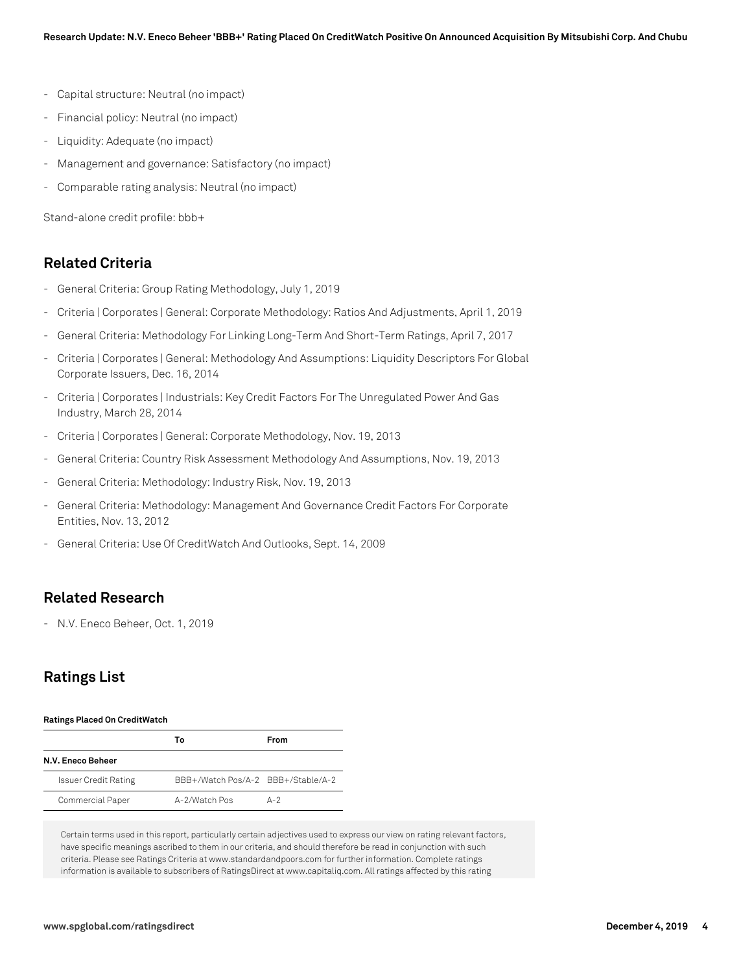- Capital structure: Neutral (no impact)
- Financial policy: Neutral (no impact)
- Liquidity: Adequate (no impact)
- Management and governance: Satisfactory (no impact)
- Comparable rating analysis: Neutral (no impact)

Stand-alone credit profile: bbb+

## **Related Criteria**

- General Criteria: Group Rating Methodology, July 1, 2019
- Criteria | Corporates | General: Corporate Methodology: Ratios And Adjustments, April 1, 2019
- General Criteria: Methodology For Linking Long-Term And Short-Term Ratings, April 7, 2017
- Criteria | Corporates | General: Methodology And Assumptions: Liquidity Descriptors For Global Corporate Issuers, Dec. 16, 2014
- Criteria | Corporates | Industrials: Key Credit Factors For The Unregulated Power And Gas Industry, March 28, 2014
- Criteria | Corporates | General: Corporate Methodology, Nov. 19, 2013
- General Criteria: Country Risk Assessment Methodology And Assumptions, Nov. 19, 2013
- General Criteria: Methodology: Industry Risk, Nov. 19, 2013
- General Criteria: Methodology: Management And Governance Credit Factors For Corporate Entities, Nov. 13, 2012
- General Criteria: Use Of CreditWatch And Outlooks, Sept. 14, 2009

## **Related Research**

- N.V. Eneco Beheer, Oct. 1, 2019

## **Ratings List**

#### **Ratings Placed On CreditWatch**

|                             | Т٥                                 | From    |
|-----------------------------|------------------------------------|---------|
| N.V. Eneco Beheer           |                                    |         |
| <b>Issuer Credit Rating</b> | BBB+/Watch Pos/A-2 BBB+/Stable/A-2 |         |
| Commercial Paper            | A-2/Watch Pos                      | $A - 2$ |

Certain terms used in this report, particularly certain adjectives used to express our view on rating relevant factors, have specific meanings ascribed to them in our criteria, and should therefore be read in conjunction with such criteria. Please see Ratings Criteria at www.standardandpoors.com for further information. Complete ratings information is available to subscribers of RatingsDirect at www.capitaliq.com. All ratings affected by this rating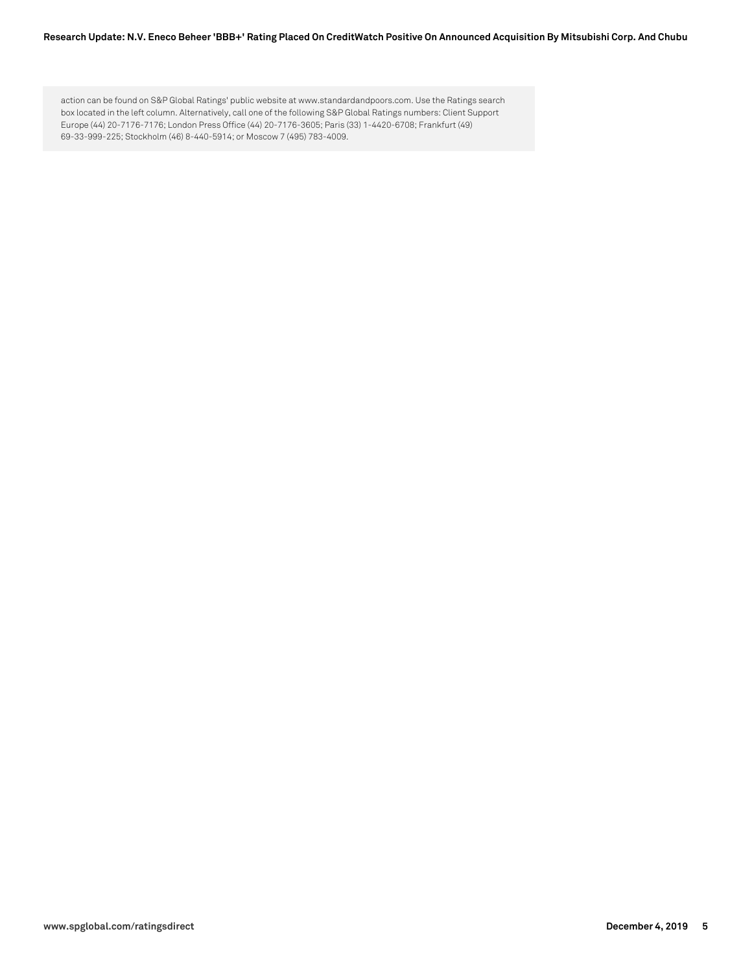#### **Research Update: N.V. Eneco Beheer 'BBB+' Rating Placed On CreditWatch Positive On Announced Acquisition By Mitsubishi Corp. And Chubu**

action can be found on S&P Global Ratings' public website at www.standardandpoors.com. Use the Ratings search box located in the left column. Alternatively, call one of the following S&P Global Ratings numbers: Client Support Europe (44) 20-7176-7176; London Press Office (44) 20-7176-3605; Paris (33) 1-4420-6708; Frankfurt (49) 69-33-999-225; Stockholm (46) 8-440-5914; or Moscow 7 (495) 783-4009.